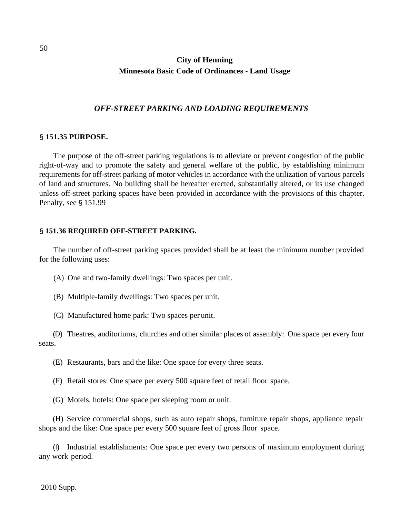## **City of Henning Minnesota Basic Code of Ordinances** - **Land Usage**

#### *OFF-STREET PARKING AND LOADING REQUIREMENTS*

#### § **151.35 PURPOSE.**

The purpose of the off-street parking regulations is to alleviate or prevent congestion of the public right-of-way and to promote the safety and general welfare of the public, by establishing minimum requirements for off-street parking of motor vehicles in accordance with the utilization of various parcels of land and structures. No building shall be hereafter erected, substantially altered, or its use changed unless off-street parking spaces have been provided in accordance with the provisions of this chapter. Penalty, see § 151.99

#### § **151.36 REQUIRED OFF-STREET PARKING.**

The number of off-street parking spaces provided shall be at least the minimum number provided for the following uses:

(A) One and two-family dwellings: Two spaces per unit.

(B) Multiple-family dwellings: Two spaces per unit.

(C) Manufactured home park: Two spaces per unit.

(D) Theatres, auditoriums, churches and other similar places of assembly: One space per every four seats.

(E) Restaurants, bars and the like: One space for every three seats.

(F) Retail stores: One space per every 500 square feet of retail floor space.

(G) Motels, hotels: One space per sleeping room or unit.

(H) Service commercial shops, such as auto repair shops, furniture repair shops, appliance repair shops and the like: One space per every 500 square feet of gross floor space.

(I) Industrial establishments: One space per every two persons of maximum employment during any work period.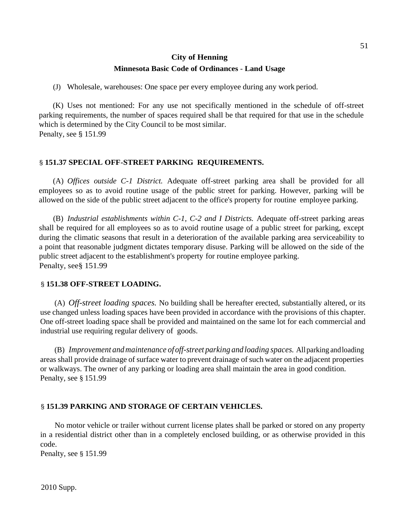## **City of Henning Minnesota Basic Code of Ordinances** - **Land Usage**

(J) Wholesale, warehouses: One space per every employee during any work period.

(K) Uses not mentioned: For any use not specifically mentioned in the schedule of off-street parking requirements, the number of spaces required shall be that required for that use in the schedule which is determined by the City Council to be most similar. Penalty, see § 151.99

## § **151.37 SPECIAL OFF-STREET PARKING REQUIREMENTS.**

(A) *Offices outside C-1 District.* Adequate off-street parking area shall be provided for all employees so as to avoid routine usage of the public street for parking. However, parking will be allowed on the side of the public street adjacent to the office's property for routine employee parking.

(B) *Industrial establishments within C-1, C-2 and I Districts.* Adequate off-street parking areas shall be required for all employees so as to avoid routine usage of a public street for parking, except during the climatic seasons that result in a deterioration of the available parking area serviceability to a point that reasonable judgment dictates temporary disuse. Parking will be allowed on the side of the public street adjacent to the establishment's property for routine employee parking. Penalty, see§ 151.99

### § **151.38 OFF-STREET LOADING.**

(A) *Off-street loading spaces.* No building shall be hereafter erected, substantially altered, or its use changed unless loading spaces have been provided in accordance with the provisions of this chapter. One off-street loading space shall be provided and maintained on the same lot for each commercial and industrial use requiring regular delivery of goods.

(B) *Improvement andmaintenance of off-street parking and loading spaces.* Allparking andloading areas shall provide drainage of surface water to prevent drainage of such water on the adjacent properties or walkways. The owner of any parking or loading area shall maintain the area in good condition. Penalty, see § 151.99

### § **151.39 PARKING AND STORAGE OF CERTAIN VEHICLES.**

No motor vehicle or trailer without current license plates shall be parked or stored on any property in a residential district other than in a completely enclosed building, or as otherwise provided in this code.

Penalty, see § 151.99